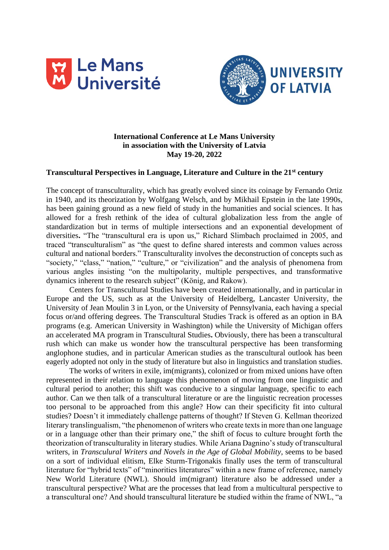



# **International Conference at Le Mans University in association with the University of Latvia May 19-20, 2022**

## **Transcultural Perspectives in Language, Literature and Culture in the 21st century**

The concept of transculturality, which has greatly evolved since its coinage by Fernando Ortiz in 1940, and its theorization by Wolfgang Welsch, and by Mikhail Epstein in the late 1990s, has been gaining ground as a new field of study in the humanities and social sciences. It has allowed for a fresh rethink of the idea of cultural globalization less from the angle of standardization but in terms of multiple intersections and an exponential development of diversities**.** "The "transcultural era is upon us," Richard Slimbach proclaimed in 2005, and traced "transculturalism" as "the quest to define shared interests and common values across cultural and national borders." Transculturality involves the deconstruction of concepts such as "society," "class," "nation," "culture," or "civilization" and the analysis of phenomena from various angles insisting "on the multipolarity, multiple perspectives, and transformative dynamics inherent to the research subject" (König, and Rakow).

 Centers for Transcultural Studies have been created internationally, and in particular in Europe and the US, such as at the University of Heidelberg, Lancaster University, the University of Jean Moulin 3 in Lyon, or the University of Pennsylvania, each having a special focus or/and offering degrees. The Transcultural Studies Track is offered as an option in BA programs (e.g. American University in Washington) while the University of Michigan offers an accelerated MA program in Transcultural Studies**.** Obviously, there has been a transcultural rush which can make us wonder how the transcultural perspective has been transforming anglophone studies, and in particular American studies as the transcultural outlook has been eagerly adopted not only in the study of literature but also in linguistics and translation studies.

 The works of writers in exile, im(migrants), colonized or from mixed unions have often represented in their relation to language this phenomenon of moving from one linguistic and cultural period to another; this shift was conducive to a singular language, specific to each author. Can we then talk of a transcultural literature or are the linguistic recreation processes too personal to be approached from this angle? How can their specificity fit into cultural studies? Doesn't it immediately challenge patterns of thought? If Steven G. Kellman theorized literary translingualism, "the phenomenon of writers who create texts in more than one language or in a language other than their primary one," the shift of focus to culture brought forth the theorization of transculturality in literary studies. While Ariana Dagnino's study of transcultural writers, in *Transculural Writers and Novels in the Age of Global Mobility*, seems to be based on a sort of individual elitism, Elke Sturm-Trigonakis finally uses the term of transcultural literature for "hybrid texts" of "minorities literatures" within a new frame of reference, namely New World Literature (NWL). Should im(migrant) literature also be addressed under a transcultural perspective? What are the processes that lead from a multicultural perspective to a transcultural one? And should transcultural literature be studied within the frame of NWL, "a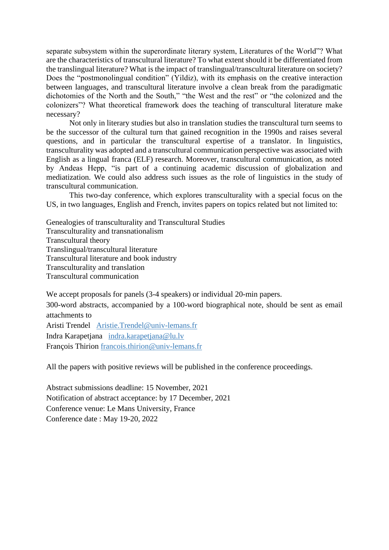separate subsystem within the superordinate literary system, Literatures of the World"? What are the characteristics of transcultural literature? To what extent should it be differentiated from the translingual literature? What is the impact of translingual/transcultural literature on society? Does the "postmonolingual condition" (Yildiz), with its emphasis on the creative interaction between languages, and transcultural literature involve a clean break from the paradigmatic dichotomies of the North and the South," "the West and the rest" or "the colonized and the colonizers"? What theoretical framework does the teaching of transcultural literature make necessary?

 Not only in literary studies but also in translation studies the transcultural turn seems to be the successor of the cultural turn that gained recognition in the 1990s and raises several questions, and in particular the transcultural expertise of a translator. In linguistics, transculturality was adopted and a transcultural communication perspective was associated with English as a lingual franca (ELF) research. Moreover, transcultural communication, as noted by Andeas Hepp, "is part of a continuing academic discussion of globalization and mediatization. We could also address such issues as the role of linguistics in the study of transcultural communication.

 This two-day conference, which explores transculturality with a special focus on the US, in two languages, English and French, invites papers on topics related but not limited to:

Genealogies of transculturality and Transcultural Studies Transculturality and transnationalism Transcultural theory Translingual/transcultural literature Transcultural literature and book industry Transculturality and translation Transcultural communication

We accept proposals for panels (3-4 speakers) or individual 20-min papers.

300-word abstracts, accompanied by a 100-word biographical note, should be sent as email attachments to

Aristi Trendel [Aristie.Trendel@univ-lemans.fr](mailto:Aristie.Trendel@univ-lemans.fr) Indra Karapetjana [indra.karapetjana@lu.lv](mailto:indra.karapetjana@lu.lv) François Thirion [francois.thirion@univ-lemans.fr](mailto:francois.thirion@univ-lemans.fr)

All the papers with positive reviews will be published in the conference proceedings.

Abstract submissions deadline: 15 November, 2021 Notification of abstract acceptance: by 17 December, 2021 Conference venue: Le Mans University, France Conference date : May 19-20, 2022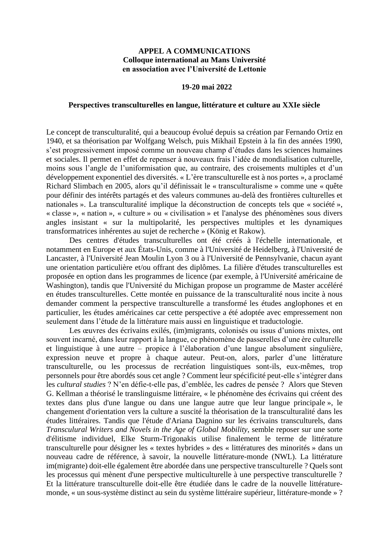### **APPEL A COMMUNICATIONS Colloque international au Mans Université en association avec l'Université de Lettonie**

### **19-20 mai 2022**

### **Perspectives transculturelles en langue, littérature et culture au XXIe siècle**

Le concept de transculturalité, qui a beaucoup évolué depuis sa création par Fernando Ortiz en 1940, et sa théorisation par Wolfgang Welsch, puis Mikhail Epstein à la fin des années 1990, s'est progressivement imposé comme un nouveau champ d'études dans les sciences humaines et sociales. Il permet en effet de repenser à nouveaux frais l'idée de mondialisation culturelle, moins sous l'angle de l'uniformisation que, au contraire, des croisements multiples et d'un développement exponentiel des diversités. « L'ère transculturelle est à nos portes », a proclamé Richard Slimbach en 2005, alors qu'il définissait le « transculturalisme » comme une « quête pour définir des intérêts partagés et des valeurs communes au-delà des frontières culturelles et nationales ». La transculturalité implique la déconstruction de concepts tels que « société », « classe », « nation », « culture » ou « civilisation » et l'analyse des phénomènes sous divers angles insistant « sur la multipolarité, les perspectives multiples et les dynamiques transformatrices inhérentes au sujet de recherche » (König et Rakow).

Des centres d'études transculturelles ont été créés à l'échelle internationale, et notamment en Europe et aux États-Unis, comme à l'Université de Heidelberg, à l'Université de Lancaster, à l'Université Jean Moulin Lyon 3 ou à l'Université de Pennsylvanie, chacun ayant une orientation particulière et/ou offrant des diplômes. La filière d'études transculturelles est proposée en option dans les programmes de licence (par exemple, à l'Université américaine de Washington), tandis que l'Université du Michigan propose un programme de Master accéléré en études transculturelles. Cette montée en puissance de la transculturalité nous incite à nous demander comment la perspective transculturelle a transformé les études anglophones et en particulier, les études américaines car cette perspective a été adoptée avec empressement non seulement dans l'étude de la littérature mais aussi en linguistique et traductologie.

Les œuvres des écrivains exilés, (im)migrants, colonisés ou issus d'unions mixtes, ont souvent incarné, dans leur rapport à la langue, ce phénomène de passerelles d'une ère culturelle et linguistique à une autre – propice à l'élaboration d'une langue absolument singulière, expression neuve et propre à chaque auteur. Peut-on, alors, parler d'une littérature transculturelle, ou les processus de recréation linguistiques sont-ils, eux-mêmes, trop personnels pour être abordés sous cet angle ? Comment leur spécificité peut-elle s'intégrer dans les *cultural studies* ? N'en défie-t-elle pas, d'emblée, les cadres de pensée ? Alors que Steven G. Kellman a théorisé le translinguisme littéraire, « le phénomène des écrivains qui créent des textes dans plus d'une langue ou dans une langue autre que leur langue principale », le changement d'orientation vers la culture a suscité la théorisation de la transculturalité dans les études littéraires. Tandis que l'étude d'Ariana Dagnino sur les écrivains transculturels, dans *Transculural Writers and Novels in the Age of Global Mobility*, semble reposer sur une sorte d'élitisme individuel, Elke Sturm-Trigonakis utilise finalement le terme de littérature transculturelle pour désigner les « textes hybrides » des « littératures des minorités » dans un nouveau cadre de référence, à savoir, la nouvelle littérature-monde (NWL). La littérature im(migrante) doit-elle également être abordée dans une perspective transculturelle ? Quels sont les processus qui mènent d'une perspective multiculturelle à une perspective transculturelle ? Et la littérature transculturelle doit-elle être étudiée dans le cadre de la nouvelle littératuremonde, « un sous-système distinct au sein du système littéraire supérieur, littérature-monde » ?